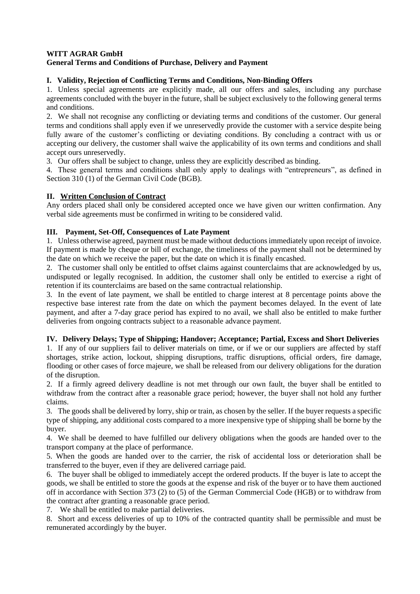#### **WITT AGRAR GmbH General Terms and Conditions of Purchase, Delivery and Payment**

# **I. Validity, Rejection of Conflicting Terms and Conditions, Non-Binding Offers**

1. Unless special agreements are explicitly made, all our offers and sales, including any purchase agreements concluded with the buyer in the future, shall be subject exclusively to the following general terms and conditions.

2. We shall not recognise any conflicting or deviating terms and conditions of the customer. Our general terms and conditions shall apply even if we unreservedly provide the customer with a service despite being fully aware of the customer's conflicting or deviating conditions. By concluding a contract with us or accepting our delivery, the customer shall waive the applicability of its own terms and conditions and shall accept ours unreservedly.

3. Our offers shall be subject to change, unless they are explicitly described as binding.

4. These general terms and conditions shall only apply to dealings with "entrepreneurs", as defined in Section 310 (1) of the German Civil Code (BGB).

# **II. Written Conclusion of Contract**

Any orders placed shall only be considered accepted once we have given our written confirmation. Any verbal side agreements must be confirmed in writing to be considered valid.

# **III. Payment, Set-Off, Consequences of Late Payment**

1. Unless otherwise agreed, payment must be made without deductions immediately upon receipt of invoice. If payment is made by cheque or bill of exchange, the timeliness of the payment shall not be determined by the date on which we receive the paper, but the date on which it is finally encashed.

2. The customer shall only be entitled to offset claims against counterclaims that are acknowledged by us, undisputed or legally recognised. In addition, the customer shall only be entitled to exercise a right of retention if its counterclaims are based on the same contractual relationship.

3. In the event of late payment, we shall be entitled to charge interest at 8 percentage points above the respective base interest rate from the date on which the payment becomes delayed. In the event of late payment, and after a 7-day grace period has expired to no avail, we shall also be entitled to make further deliveries from ongoing contracts subject to a reasonable advance payment.

# **IV. Delivery Delays; Type of Shipping; Handover; Acceptance; Partial, Excess and Short Deliveries**

1. If any of our suppliers fail to deliver materials on time, or if we or our suppliers are affected by staff shortages, strike action, lockout, shipping disruptions, traffic disruptions, official orders, fire damage, flooding or other cases of force majeure, we shall be released from our delivery obligations for the duration of the disruption.

2. If a firmly agreed delivery deadline is not met through our own fault, the buyer shall be entitled to withdraw from the contract after a reasonable grace period; however, the buyer shall not hold any further claims.

3. The goods shall be delivered by lorry, ship or train, as chosen by the seller. If the buyer requests a specific type of shipping, any additional costs compared to a more inexpensive type of shipping shall be borne by the buyer.

4. We shall be deemed to have fulfilled our delivery obligations when the goods are handed over to the transport company at the place of performance.

5. When the goods are handed over to the carrier, the risk of accidental loss or deterioration shall be transferred to the buyer, even if they are delivered carriage paid.

6. The buyer shall be obliged to immediately accept the ordered products. If the buyer is late to accept the goods, we shall be entitled to store the goods at the expense and risk of the buyer or to have them auctioned off in accordance with Section 373 (2) to (5) of the German Commercial Code (HGB) or to withdraw from the contract after granting a reasonable grace period.

7. We shall be entitled to make partial deliveries.

8. Short and excess deliveries of up to 10% of the contracted quantity shall be permissible and must be remunerated accordingly by the buyer.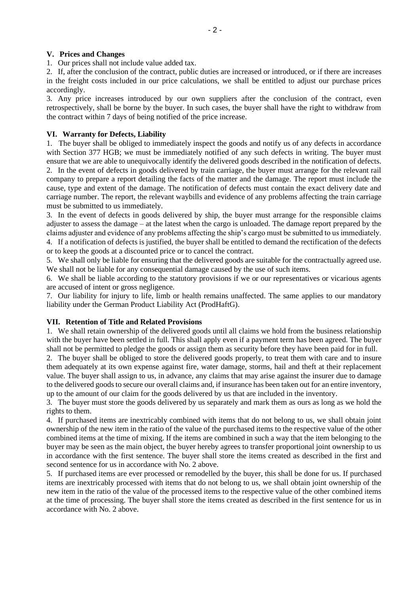#### **V. Prices and Changes**

1. Our prices shall not include value added tax.

2. If, after the conclusion of the contract, public duties are increased or introduced, or if there are increases in the freight costs included in our price calculations, we shall be entitled to adjust our purchase prices accordingly.

3. Any price increases introduced by our own suppliers after the conclusion of the contract, even retrospectively, shall be borne by the buyer. In such cases, the buyer shall have the right to withdraw from the contract within 7 days of being notified of the price increase.

#### **VI. Warranty for Defects, Liability**

1. The buyer shall be obliged to immediately inspect the goods and notify us of any defects in accordance with Section 377 HGB; we must be immediately notified of any such defects in writing. The buyer must ensure that we are able to unequivocally identify the delivered goods described in the notification of defects.

2. In the event of defects in goods delivered by train carriage, the buyer must arrange for the relevant rail company to prepare a report detailing the facts of the matter and the damage. The report must include the cause, type and extent of the damage. The notification of defects must contain the exact delivery date and carriage number. The report, the relevant waybills and evidence of any problems affecting the train carriage must be submitted to us immediately.

3. In the event of defects in goods delivered by ship, the buyer must arrange for the responsible claims adjuster to assess the damage – at the latest when the cargo is unloaded. The damage report prepared by the claims adjuster and evidence of any problems affecting the ship's cargo must be submitted to us immediately. 4. If a notification of defects is justified, the buyer shall be entitled to demand the rectification of the defects

or to keep the goods at a discounted price or to cancel the contract.

5. We shall only be liable for ensuring that the delivered goods are suitable for the contractually agreed use. We shall not be liable for any consequential damage caused by the use of such items.

6. We shall be liable according to the statutory provisions if we or our representatives or vicarious agents are accused of intent or gross negligence.

7. Our liability for injury to life, limb or health remains unaffected. The same applies to our mandatory liability under the German Product Liability Act (ProdHaftG).

### **VII. Retention of Title and Related Provisions**

1. We shall retain ownership of the delivered goods until all claims we hold from the business relationship with the buyer have been settled in full. This shall apply even if a payment term has been agreed. The buyer shall not be permitted to pledge the goods or assign them as security before they have been paid for in full.

2. The buyer shall be obliged to store the delivered goods properly, to treat them with care and to insure them adequately at its own expense against fire, water damage, storms, hail and theft at their replacement value. The buyer shall assign to us, in advance, any claims that may arise against the insurer due to damage to the delivered goods to secure our overall claims and, if insurance has been taken out for an entire inventory, up to the amount of our claim for the goods delivered by us that are included in the inventory.

3. The buyer must store the goods delivered by us separately and mark them as ours as long as we hold the rights to them.

4. If purchased items are inextricably combined with items that do not belong to us, we shall obtain joint ownership of the new item in the ratio of the value of the purchased items to the respective value of the other combined items at the time of mixing. If the items are combined in such a way that the item belonging to the buyer may be seen as the main object, the buyer hereby agrees to transfer proportional joint ownership to us in accordance with the first sentence. The buyer shall store the items created as described in the first and second sentence for us in accordance with No. 2 above.

5. If purchased items are ever processed or remodelled by the buyer, this shall be done for us. If purchased items are inextricably processed with items that do not belong to us, we shall obtain joint ownership of the new item in the ratio of the value of the processed items to the respective value of the other combined items at the time of processing. The buyer shall store the items created as described in the first sentence for us in accordance with No. 2 above.